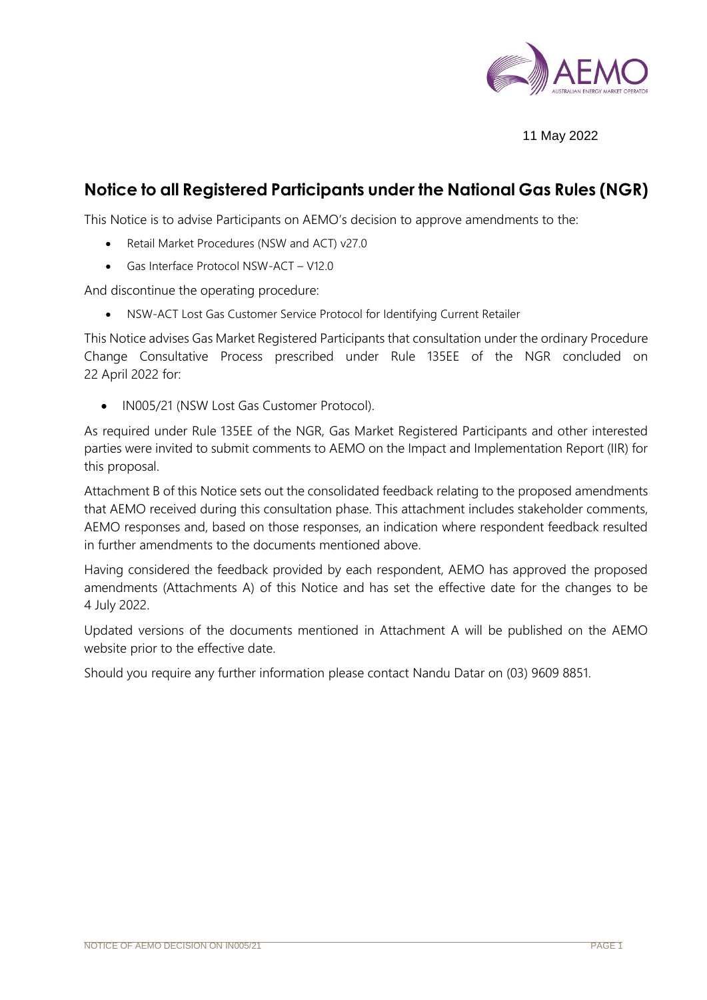

11 May 2022

# **Notice to all Registered Participants under the National Gas Rules (NGR)**

This Notice is to advise Participants on AEMO's decision to approve amendments to the:

- Retail Market Procedures (NSW and ACT) v27.0
- Gas Interface Protocol NSW-ACT V12.0

And discontinue the operating procedure:

• NSW-ACT Lost Gas Customer Service Protocol for Identifying Current Retailer

This Notice advises Gas Market Registered Participants that consultation under the ordinary Procedure Change Consultative Process prescribed under Rule 135EE of the NGR concluded on 22 April 2022 for:

• IN005/21 (NSW Lost Gas Customer Protocol).

As required under Rule 135EE of the NGR, Gas Market Registered Participants and other interested parties were invited to submit comments to AEMO on the Impact and Implementation Report (IIR) for this proposal.

Attachment B of this Notice sets out the consolidated feedback relating to the proposed amendments that AEMO received during this consultation phase. This attachment includes stakeholder comments, AEMO responses and, based on those responses, an indication where respondent feedback resulted in further amendments to the documents mentioned above.

Having considered the feedback provided by each respondent, AEMO has approved the proposed amendments (Attachments A) of this Notice and has set the effective date for the changes to be 4 July 2022.

Updated versions of the documents mentioned in Attachment A will be published on the AEMO website prior to the effective date.

Should you require any further information please contact Nandu Datar on (03) 9609 8851.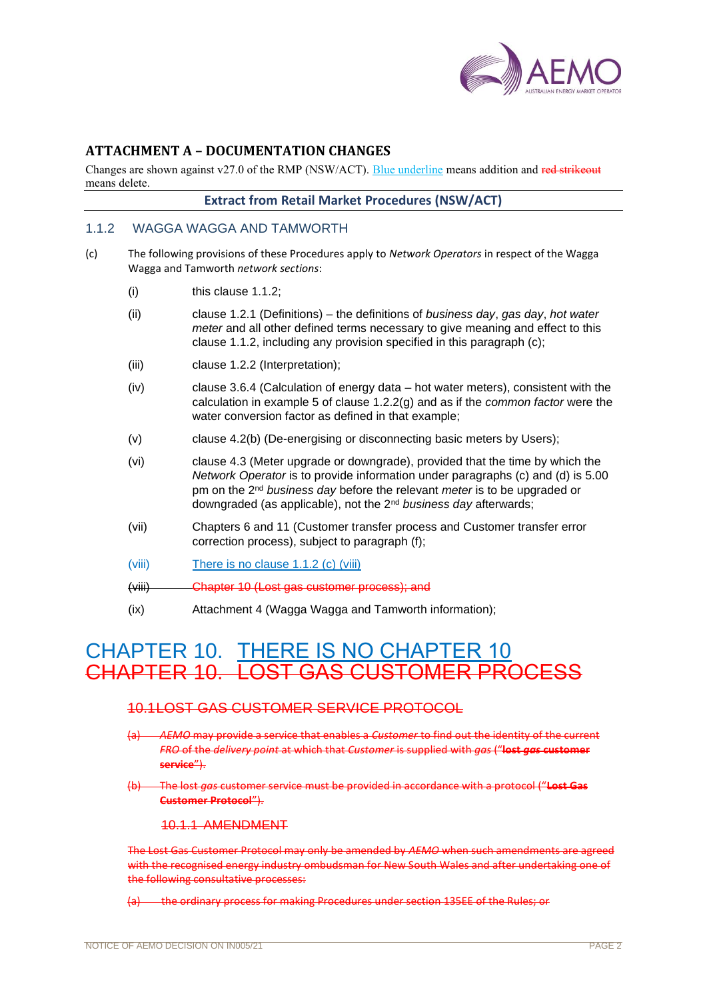

## **ATTACHMENT A – DOCUMENTATION CHANGES**

Changes are shown against  $v27.0$  of the RMP (NSW/ACT). Blue underline means addition and red strikeout means delete.

#### **Extract from Retail Market Procedures (NSW/ACT)**

### 1.1.2 WAGGA WAGGA AND TAMWORTH

- (c) The following provisions of these Procedures apply to *Network Operators* in respect of the Wagga Wagga and Tamworth *network sections*:
	- (i) this clause 1.1.2;
	- (ii) clause 1.2.1 (Definitions) the definitions of *business day*, *gas day*, *hot water meter* and all other defined terms necessary to give meaning and effect to this clause 1.1.2, including any provision specified in this paragraph (c);
	- (iii) clause 1.2.2 (Interpretation);
	- (iv) clause 3.6.4 (Calculation of energy data hot water meters), consistent with the calculation in example 5 of clause 1.2.2(g) and as if the *common factor* were the water conversion factor as defined in that example;
	- (v) clause 4.2(b) (De-energising or disconnecting basic meters by Users);
	- (vi) clause 4.3 (Meter upgrade or downgrade), provided that the time by which the *Network Operator* is to provide information under paragraphs (c) and (d) is 5.00 pm on the 2nd *business day* before the relevant *meter* is to be upgraded or downgraded (as applicable), not the 2nd *business day* afterwards;
	- (vii) Chapters 6 and 11 (Customer transfer process and Customer transfer error correction process), subject to paragraph (f);
	- (viii) There is no clause 1.1.2 (c) (viii)
	- (viii) Chapter 10 (Lost gas customer process); and
	- (ix) Attachment 4 (Wagga Wagga and Tamworth information);

# CHAPTER 10. THERE IS NO CHAPTER 10 CHAPTER 10. LOST GAS CUSTOMER PROCESS

#### 10.1LOST GAS CUSTOMER SERVICE PROTOCOL

- (a) *AEMO* may provide a service that enables a *Customer* to find out the identity of the current *FRO* of the *delivery point* at which that *Customer* is supplied with *gas* ("**lost** *gas* **customer service**").
- (b) The lost *gas* customer service must be provided in accordance with a protocol ("**Lost Gas Customer Protocol**").

#### 10.1.1 AMENDMENT

The Lost Gas Customer Protocol may only be amended by *AEMO* when such amendments are agreed with the recognised energy industry ombudsman for New South Wales and after undertaking one of the following consultative processes:

the ordinary process for making Procedures under section 135EE of the Rules; or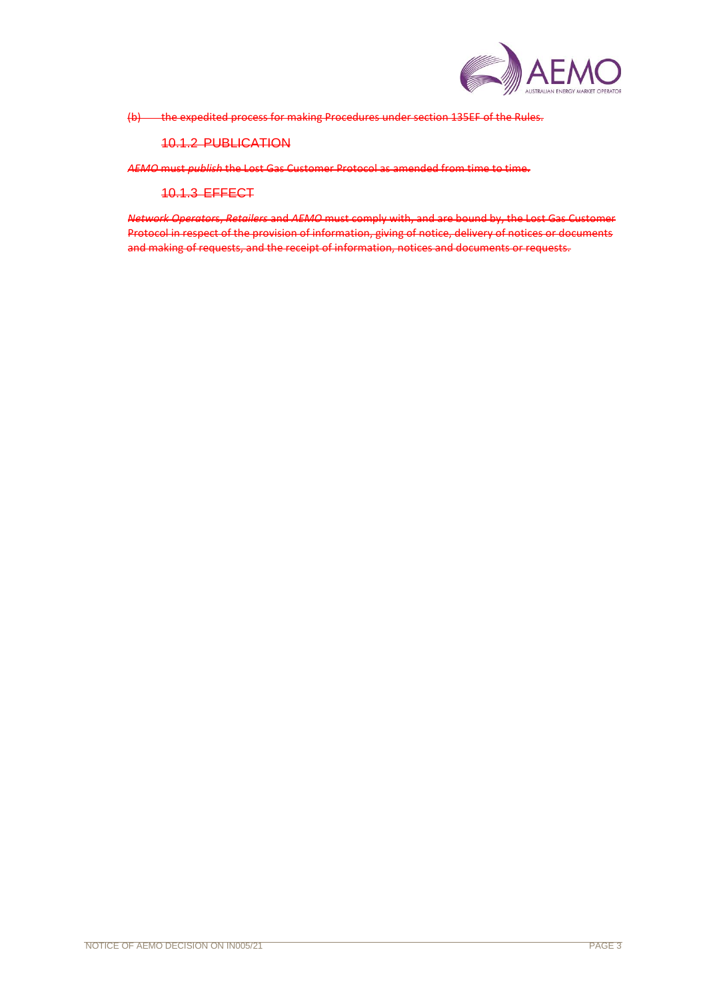

(b) the expedited process for making Procedures under section 135EF of the Rules.

## 10.1.2 PUBLICATION

*AEMO* must *publish* the Lost Gas Customer Protocol as amended from time to time.

#### 10.1.3 EFFECT

*Network Operator*s, *Retailers* and *AEMO* must comply with, and are bound by, the Lost Gas Customer Protocol in respect of the provision of information, giving of notice, delivery of notices or documents and making of requests, and the receipt of information, notices and documents or requests.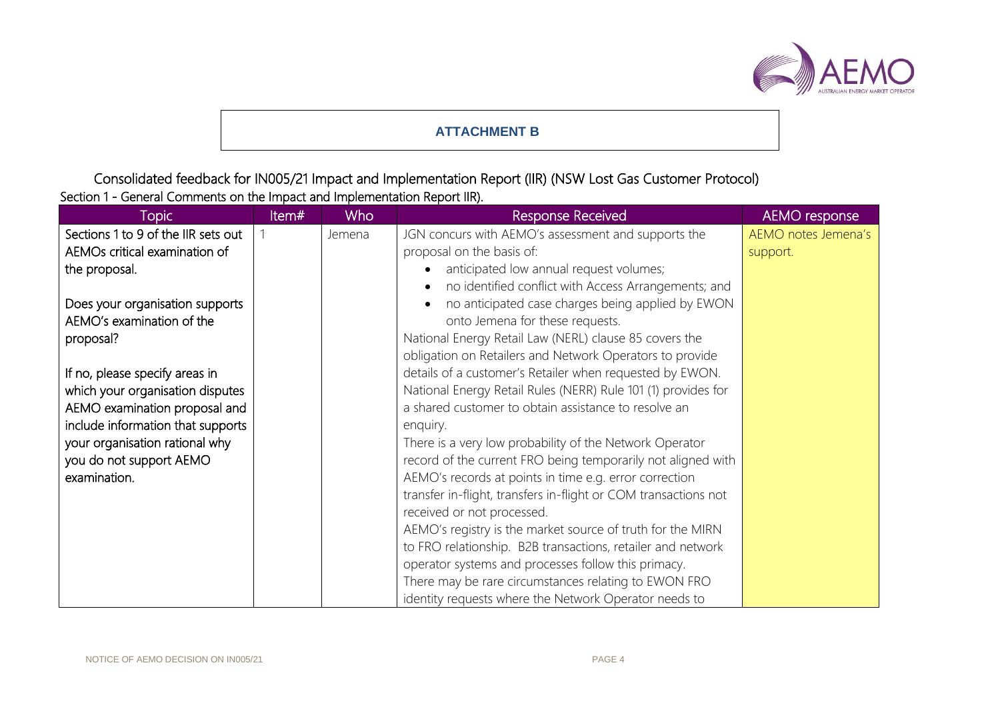

# **ATTACHMENT B**

Consolidated feedback for IN005/21 Impact and Implementation Report (IIR) (NSW Lost Gas Customer Protocol) Section 1 - General Comments on the Impact and Implementation Report IIR).

| <b>Topic</b>                        | Item# | Who    | <b>Response Received</b>                                        | AEMO response       |
|-------------------------------------|-------|--------|-----------------------------------------------------------------|---------------------|
| Sections 1 to 9 of the IIR sets out |       | Jemena | JGN concurs with AEMO's assessment and supports the             | AEMO notes Jemena's |
| AEMOs critical examination of       |       |        | proposal on the basis of:                                       | support.            |
| the proposal.                       |       |        | anticipated low annual request volumes;                         |                     |
|                                     |       |        | no identified conflict with Access Arrangements; and            |                     |
| Does your organisation supports     |       |        | no anticipated case charges being applied by EWON<br>$\bullet$  |                     |
| AEMO's examination of the           |       |        | onto Jemena for these requests.                                 |                     |
| proposal?                           |       |        | National Energy Retail Law (NERL) clause 85 covers the          |                     |
|                                     |       |        | obligation on Retailers and Network Operators to provide        |                     |
| If no, please specify areas in      |       |        | details of a customer's Retailer when requested by EWON.        |                     |
| which your organisation disputes    |       |        | National Energy Retail Rules (NERR) Rule 101 (1) provides for   |                     |
| AEMO examination proposal and       |       |        | a shared customer to obtain assistance to resolve an            |                     |
| include information that supports   |       |        | enquiry.                                                        |                     |
| your organisation rational why      |       |        | There is a very low probability of the Network Operator         |                     |
| you do not support AEMO             |       |        | record of the current FRO being temporarily not aligned with    |                     |
| examination.                        |       |        | AEMO's records at points in time e.g. error correction          |                     |
|                                     |       |        | transfer in-flight, transfers in-flight or COM transactions not |                     |
|                                     |       |        | received or not processed.                                      |                     |
|                                     |       |        | AEMO's registry is the market source of truth for the MIRN      |                     |
|                                     |       |        | to FRO relationship. B2B transactions, retailer and network     |                     |
|                                     |       |        | operator systems and processes follow this primacy.             |                     |
|                                     |       |        | There may be rare circumstances relating to EWON FRO            |                     |
|                                     |       |        | identity requests where the Network Operator needs to           |                     |